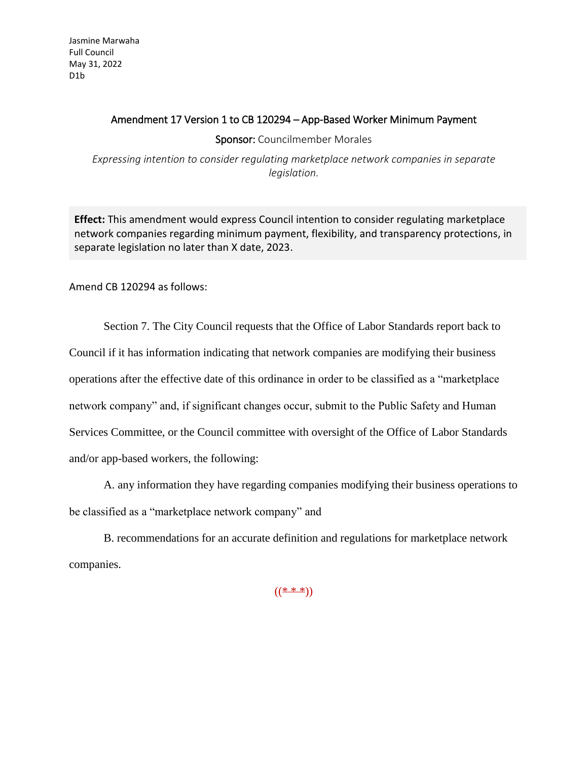## Amendment 17 Version 1 to CB 120294 – App-Based Worker Minimum Payment

Sponsor: Councilmember Morales

*Expressing intention to consider regulating marketplace network companies in separate legislation.*

**Effect:** This amendment would express Council intention to consider regulating marketplace network companies regarding minimum payment, flexibility, and transparency protections, in separate legislation no later than X date, 2023.

Amend CB 120294 as follows:

Section 7. The City Council requests that the Office of Labor Standards report back to Council if it has information indicating that network companies are modifying their business operations after the effective date of this ordinance in order to be classified as a "marketplace network company" and, if significant changes occur, submit to the Public Safety and Human Services Committee, or the Council committee with oversight of the Office of Labor Standards and/or app-based workers, the following:

A. any information they have regarding companies modifying their business operations to be classified as a "marketplace network company" and

B. recommendations for an accurate definition and regulations for marketplace network companies.

 $(($  \* \* \*))